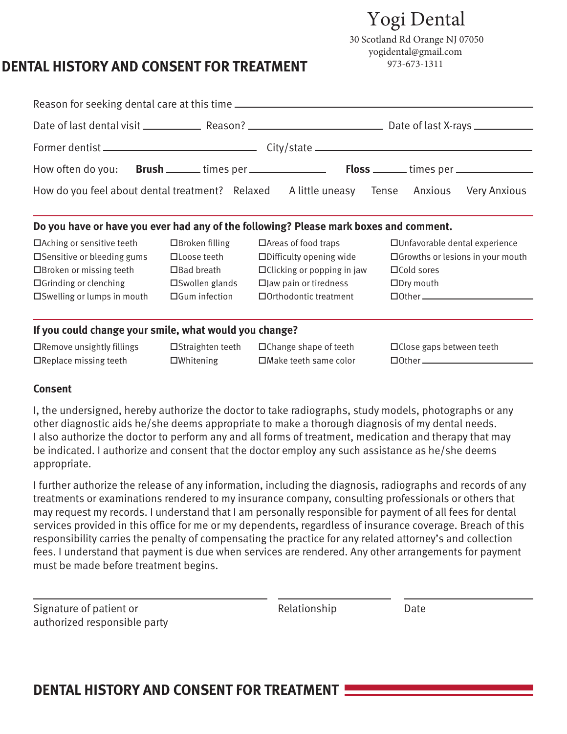# Yogi Dental

30 Scotland Rd Orange NJ 07050 yogidental@gmail.com 973-673-1311

## **DENTAL HISTORY AND CONSENT FOR TREATMENT**

| How do you feel about dental treatment? Relaxed A little uneasy Tense Anxious Very Anxious |                          |                                   |  |                                           |                                                  |  |  |
|--------------------------------------------------------------------------------------------|--------------------------|-----------------------------------|--|-------------------------------------------|--------------------------------------------------|--|--|
| Do you have or have you ever had any of the following? Please mark boxes and comment.      |                          |                                   |  |                                           |                                                  |  |  |
| $\Box$ Aching or sensitive teeth                                                           | $\Box$ Broken filling    | $\Box$ Areas of food traps        |  | □ Unfavorable dental experience           |                                                  |  |  |
| $\square$ Sensitive or bleeding gums                                                       | □Loose teeth             | $\Box$ Difficulty opening wide    |  | $\Box$ Growths or lesions in your mouth   |                                                  |  |  |
| $\Box$ Broken or missing teeth                                                             | $\Box$ Bad breath        | $\Box$ Clicking or popping in jaw |  | $\Box$ Cold sores                         |                                                  |  |  |
| $\Box$ Grinding or clenching                                                               | $\square$ Swollen glands | $\square$ Jaw pain or tiredness   |  | $\square$ Dry mouth                       |                                                  |  |  |
| $\square$ Swelling or lumps in mouth                                                       | $\Box$ Gum infection     | $\Box$ Orthodontic treatment      |  | $\Box$ $\Box$ $\Box$ $\Box$ $\Box$ $\Box$ |                                                  |  |  |
| If you could change your smile, what would you change?                                     |                          |                                   |  |                                           |                                                  |  |  |
| $\Box$ Remove unsightly fillings                                                           | $\Box$ Straighten teeth  | $\Box$ Change shape of teeth      |  | $\Box$ Close gaps between teeth           |                                                  |  |  |
| $\Box$ Replace missing teeth                                                               | $\square$ Whitening      | $\Box$ Make teeth same color      |  |                                           | $\Box$ $\Box$ $\Box$ $\Box$ $\Box$ $\Box$ $\Box$ |  |  |

#### **Consent**

I, the undersigned, hereby authorize the doctor to take radiographs, study models, photographs or any other diagnostic aids he/she deems appropriate to make a thorough diagnosis of my dental needs. I also authorize the doctor to perform any and all forms of treatment, medication and therapy that may be indicated. I authorize and consent that the doctor employ any such assistance as he/she deems appropriate.

I further authorize the release of any information, including the diagnosis, radiographs and records of any treatments or examinations rendered to my insurance company, consulting professionals or others that may request my records. I understand that I am personally responsible for payment of all fees for dental services provided in this office for me or my dependents, regardless of insurance coverage. Breach of this responsibility carries the penalty of compensating the practice for any related attorney's and collection fees. I understand that payment is due when services are rendered. Any other arrangements for payment must be made before treatment begins.

| Signature of patient or      |  |
|------------------------------|--|
| authorized responsible party |  |

Relationship Date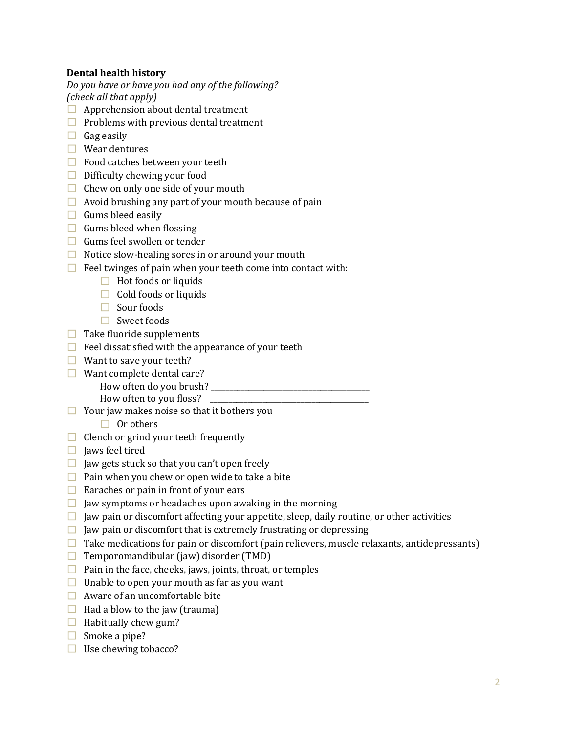### **Dental health history**

*Do you have or have you had any of the following? (check all that apply)* 

- $\Box$  Apprehension about dental treatment
- $\Box$  Problems with previous dental treatment
- $\Box$  Gag easily
- $\Box$  Wear dentures
- $\Box$  Food catches between your teeth
- $\Box$  Difficulty chewing your food
- $\Box$  Chew on only one side of your mouth
- $\Box$  Avoid brushing any part of your mouth because of pain
- $\Box$  Gums bleed easily
- $\Box$  Gums bleed when flossing
- $\Box$  Gums feel swollen or tender
- $\Box$  Notice slow-healing sores in or around your mouth
- $\Box$  Feel twinges of pain when your teeth come into contact with:
	- $\Box$  Hot foods or liquids
	- $\Box$  Cold foods or liquids
	- $\Box$  Sour foods
	- $\Box$  Sweet foods
- $\Box$  Take fluoride supplements
- $\Box$  Feel dissatisfied with the appearance of your teeth
- $\Box$  Want to save your teeth?
- $\Box$  Want complete dental care?
	- How often do you brush? \_\_\_\_\_\_\_\_\_\_\_\_\_\_\_\_\_\_\_\_\_\_\_\_\_\_\_\_\_\_\_\_\_\_\_\_\_\_\_\_\_\_
		- How often to you floss?
- $\Box$  Your jaw makes noise so that it bothers you
	- $\Box$  Or others
- $\Box$  Clench or grind your teeth frequently
- $\Box$  Jaws feel tired
- $\Box$  Jaw gets stuck so that you can't open freely
- $\Box$  Pain when you chew or open wide to take a bite
- $\Box$  Earaches or pain in front of your ears
- $\Box$  Jaw symptoms or headaches upon awaking in the morning
- $\Box$  Jaw pain or discomfort affecting your appetite, sleep, daily routine, or other activities
- $\Box$  Jaw pain or discomfort that is extremely frustrating or depressing
- $\Box$  Take medications for pain or discomfort (pain relievers, muscle relaxants, antidepressants)
- $\Box$  Temporomandibular (jaw) disorder (TMD)
- $\Box$  Pain in the face, cheeks, jaws, joints, throat, or temples
- $\Box$  Unable to open your mouth as far as you want
- $\Box$  Aware of an uncomfortable bite
- $\Box$  Had a blow to the jaw (trauma)
- $\Box$  Habitually chew gum?
- $\Box$  Smoke a pipe?
- $\Box$  Use chewing tobacco?